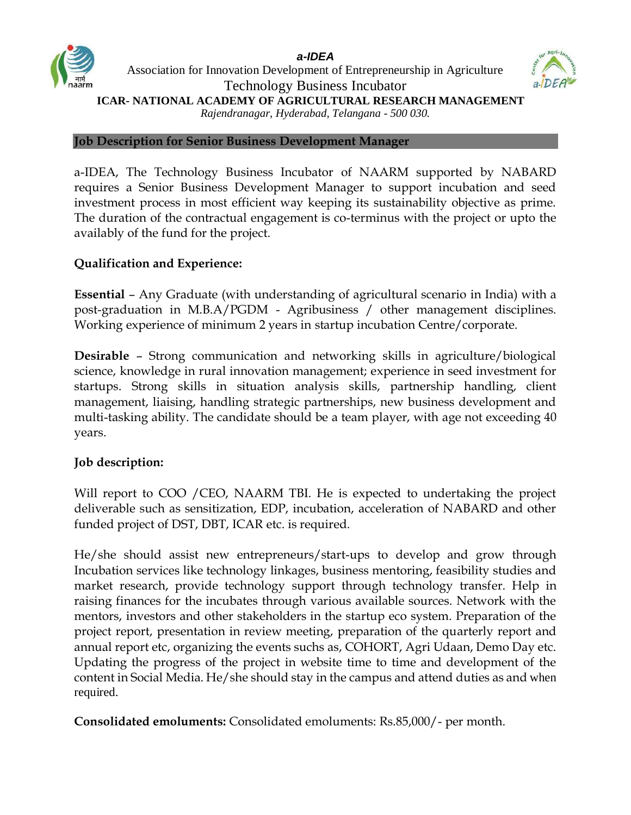



## **Job Description for Senior Business Development Manager**

a-IDEA, The Technology Business Incubator of NAARM supported by NABARD requires a Senior Business Development Manager to support incubation and seed investment process in most efficient way keeping its sustainability objective as prime. The duration of the contractual engagement is co-terminus with the project or upto the availably of the fund for the project.

## **Qualification and Experience:**

**Essential** – Any Graduate (with understanding of agricultural scenario in India) with a post-graduation in M.B.A/PGDM - Agribusiness / other management disciplines. Working experience of minimum 2 years in startup incubation Centre/corporate.

**Desirable** – Strong communication and networking skills in agriculture/biological science, knowledge in rural innovation management; experience in seed investment for startups. Strong skills in situation analysis skills, partnership handling, client management, liaising, handling strategic partnerships, new business development and multi-tasking ability. The candidate should be a team player, with age not exceeding 40 years.

## **Job description:**

Will report to COO /CEO, NAARM TBI. He is expected to undertaking the project deliverable such as sensitization, EDP, incubation, acceleration of NABARD and other funded project of DST, DBT, ICAR etc. is required.

He/she should assist new entrepreneurs/start-ups to develop and grow through Incubation services like technology linkages, business mentoring, feasibility studies and market research, provide technology support through technology transfer. Help in raising finances for the incubates through various available sources. Network with the mentors, investors and other stakeholders in the startup eco system. Preparation of the project report, presentation in review meeting, preparation of the quarterly report and annual report etc, organizing the events suchs as, COHORT, Agri Udaan, Demo Day etc. Updating the progress of the project in website time to time and development of the content in Social Media. He/she should stay in the campus and attend duties as and when required.

**Consolidated emoluments:** Consolidated emoluments: Rs.85,000/- per month.